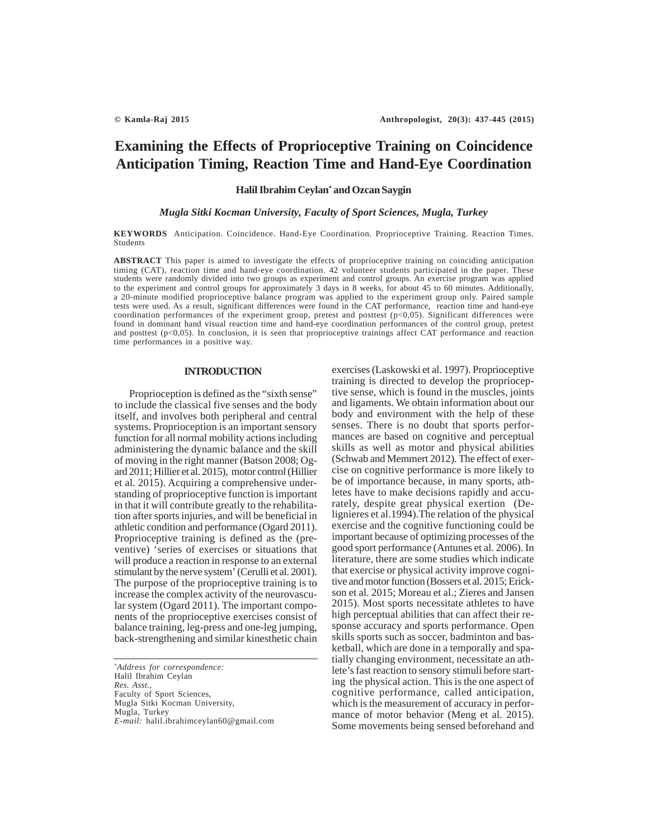# **Examining the Effects of Proprioceptive Training on Coincidence Anticipation Timing, Reaction Time and Hand-Eye Coordination**

# **Halil Ibrahim Ceylan\* and Ozcan Saygin**

# *Mugla Sitki Kocman University, Faculty of Sport Sciences, Mugla, Turkey*

**KEYWORDS** Anticipation. Coincidence. Hand-Eye Coordination. Proprioceptive Training. Reaction Times. Students

**ABSTRACT** This paper is aimed to investigate the effects of proprioceptive training on coinciding anticipation timing (CAT), reaction time and hand-eye coordination. 42 volunteer students participated in the paper. These students were randomly divided into two groups as experiment and control groups. An exercise program was applied to the experiment and control groups for approximately 3 days in 8 weeks, for about 45 to 60 minutes. Additionally, a 20-minute modified proprioceptive balance program was applied to the experiment group only. Paired sample tests were used. As a result, significant differences were found in the CAT performance, reaction time and hand-eye coordination performances of the experiment group, pretest and posttest (p<0,05). Significant differences were found in dominant hand visual reaction time and hand-eye coordination performances of the control group, pretest and posttest ( $p<0,05$ ). In conclusion, it is seen that proprioceptive trainings affect CAT performance and reaction time performances in a positive way.

## **INTRODUCTION**

Proprioception is defined as the "sixth sense" to include the classical five senses and the body itself, and involves both peripheral and central systems. Proprioception is an important sensory function for all normal mobility actions including administering the dynamic balance and the skill of moving in the right manner (Batson 2008; Ogard 2011; Hillier et al. 2015), motor control (Hillier et al. 2015). Acquiring a comprehensive understanding of proprioceptive function is important in that it will contribute greatly to the rehabilitation after sports injuries, and will be beneficial in athletic condition and performance (Ogard 2011). Proprioceptive training is defined as the (preventive) 'series of exercises or situations that will produce a reaction in response to an external stimulant by the nerve system' (Cerulli et al. 2001). The purpose of the proprioceptive training is to increase the complex activity of the neurovascular system (Ogard 2011). The important components of the proprioceptive exercises consist of balance training, leg-press and one-leg jumping, back-strengthening and similar kinesthetic chain

*\* Address for correspondence:* Halil Ibrahim Ceylan *Res. Asst.,* Faculty of Sport Sciences, Mugla Sitki Kocman University, Mugla, Turkey *E-mail:* halil.ibrahimceylan60@gmail.com exercises (Laskowski et al. 1997). Proprioceptive training is directed to develop the proprioceptive sense, which is found in the muscles, joints and ligaments. We obtain information about our body and environment with the help of these senses. There is no doubt that sports performances are based on cognitive and perceptual skills as well as motor and physical abilities (Schwab and Memmert 2012). The effect of exercise on cognitive performance is more likely to be of importance because, in many sports, athletes have to make decisions rapidly and accurately, despite great physical exertion (Delignieres et al.1994).The relation of the physical exercise and the cognitive functioning could be important because of optimizing processes of the good sport performance (Antunes et al. 2006). In literature, there are some studies which indicate that exercise or physical activity improve cognitive and motor function (Bossers et al. 2015; Erickson et al. 2015; Moreau et al.; Zieres and Jansen 2015). Most sports necessitate athletes to have high perceptual abilities that can affect their response accuracy and sports performance. Open skills sports such as soccer, badminton and basketball, which are done in a temporally and spatially changing environment, necessitate an athlete's fast reaction to sensory stimuli before starting the physical action. This is the one aspect of cognitive performance, called anticipation, which is the measurement of accuracy in performance of motor behavior (Meng et al. 2015). Some movements being sensed beforehand and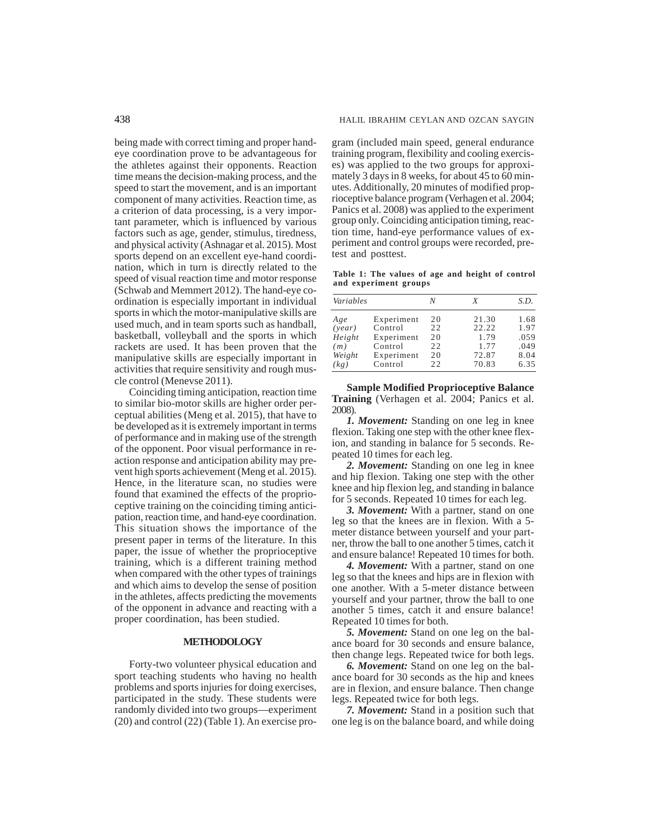being made with correct timing and proper handeye coordination prove to be advantageous for the athletes against their opponents. Reaction time means the decision-making process, and the speed to start the movement, and is an important component of many activities. Reaction time, as a criterion of data processing, is a very important parameter, which is influenced by various factors such as age, gender, stimulus, tiredness, and physical activity (Ashnagar et al. 2015). Most sports depend on an excellent eye-hand coordination, which in turn is directly related to the speed of visual reaction time and motor response (Schwab and Memmert 2012). The hand-eye coordination is especially important in individual sports in which the motor-manipulative skills are used much, and in team sports such as handball, basketball, volleyball and the sports in which rackets are used. It has been proven that the manipulative skills are especially important in activities that require sensitivity and rough muscle control (Menevse 2011).

Coinciding timing anticipation, reaction time to similar bio-motor skills are higher order perceptual abilities (Meng et al. 2015), that have to be developed as it is extremely important in terms of performance and in making use of the strength of the opponent. Poor visual performance in reaction response and anticipation ability may prevent high sports achievement (Meng et al. 2015). Hence, in the literature scan, no studies were found that examined the effects of the proprioceptive training on the coinciding timing anticipation, reaction time, and hand-eye coordination. This situation shows the importance of the present paper in terms of the literature. In this paper, the issue of whether the proprioceptive training, which is a different training method when compared with the other types of trainings and which aims to develop the sense of position in the athletes, affects predicting the movements of the opponent in advance and reacting with a proper coordination, has been studied.

# **METHODOLOGY**

Forty-two volunteer physical education and sport teaching students who having no health problems and sports injuries for doing exercises, participated in the study. These students were randomly divided into two groups—experiment (20) and control (22) (Table 1). An exercise program (included main speed, general endurance training program, flexibility and cooling exercises) was applied to the two groups for approximately 3 days in 8 weeks, for about 45 to 60 minutes. Additionally, 20 minutes of modified proprioceptive balance program (Verhagen et al. 2004; Panics et al. 2008) was applied to the experiment group only. Coinciding anticipation timing, reaction time, hand-eye performance values of experiment and control groups were recorded, pretest and posttest.

**Table 1: The values of age and height of control and experiment groups**

| Variables |            | N  | X     | S.D. |
|-----------|------------|----|-------|------|
| Age       | Experiment | 20 | 21.30 | 1.68 |
| (vear)    | Control    | 22 | 22.22 | 1.97 |
| Height    | Experiment | 20 | 1.79  | .059 |
| (m)       | Control    | 22 | 1.77  | .049 |
| Weight    | Experiment | 20 | 72.87 | 8.04 |
| (kg)      | Control    | 22 | 70.83 | 6.35 |

**Sample Modified Proprioceptive Balance Training** (Verhagen et al. 2004; Panics et al. 2008).

*1. Movement:* Standing on one leg in knee flexion. Taking one step with the other knee flexion, and standing in balance for 5 seconds. Repeated 10 times for each leg.

*2. Movement:* Standing on one leg in knee and hip flexion. Taking one step with the other knee and hip flexion leg, and standing in balance for 5 seconds. Repeated 10 times for each leg.

*3. Movement:* With a partner, stand on one leg so that the knees are in flexion. With a 5 meter distance between yourself and your partner, throw the ball to one another 5 times, catch it and ensure balance! Repeated 10 times for both.

*4. Movement:* With a partner, stand on one leg so that the knees and hips are in flexion with one another. With a 5-meter distance between yourself and your partner, throw the ball to one another 5 times, catch it and ensure balance! Repeated 10 times for both.

*5. Movement:* Stand on one leg on the balance board for 30 seconds and ensure balance, then change legs. Repeated twice for both legs.

*6. Movement:* Stand on one leg on the balance board for 30 seconds as the hip and knees are in flexion, and ensure balance. Then change legs. Repeated twice for both legs.

*7. Movement:* Stand in a position such that one leg is on the balance board, and while doing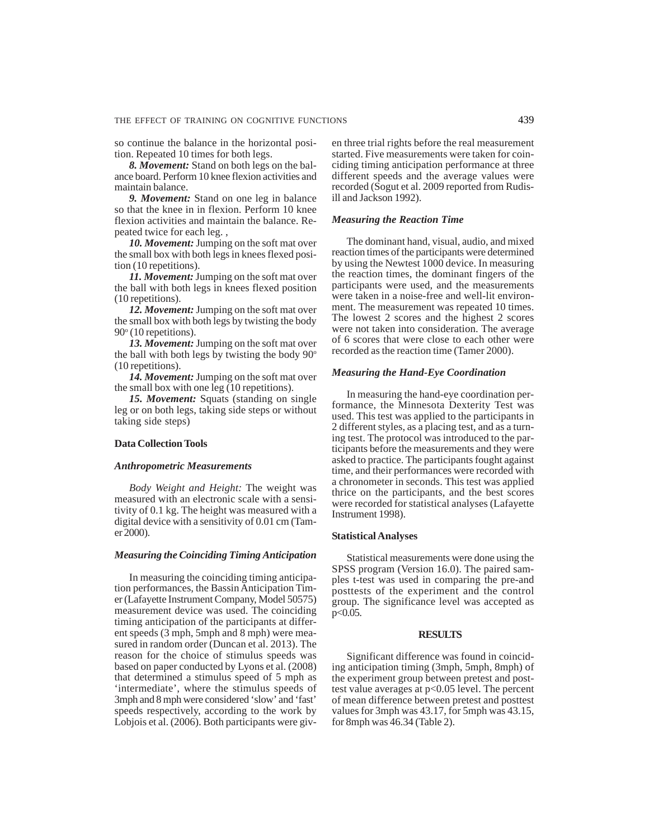so continue the balance in the horizontal position. Repeated 10 times for both legs.

*8. Movement:* Stand on both legs on the balance board. Perform 10 knee flexion activities and maintain balance.

*9. Movement:* Stand on one leg in balance so that the knee in in flexion. Perform 10 knee flexion activities and maintain the balance. Repeated twice for each leg. ,

*10. Movement:* Jumping on the soft mat over the small box with both legs in knees flexed position (10 repetitions).

*11. Movement:* Jumping on the soft mat over the ball with both legs in knees flexed position (10 repetitions).

*12. Movement:* Jumping on the soft mat over the small box with both legs by twisting the body 90° (10 repetitions).

*13. Movement:* Jumping on the soft mat over the ball with both legs by twisting the body  $90^\circ$ (10 repetitions).

*14. Movement:* Jumping on the soft mat over the small box with one leg (10 repetitions).

*15. Movement:* Squats (standing on single leg or on both legs, taking side steps or without taking side steps)

## **Data Collection Tools**

#### *Anthropometric Measurements*

*Body Weight and Height:* The weight was measured with an electronic scale with a sensitivity of 0.1 kg. The height was measured with a digital device with a sensitivity of 0.01 cm (Tamer 2000).

# *Measuring the Coinciding Timing Anticipation*

In measuring the coinciding timing anticipation performances, the Bassin Anticipation Timer (Lafayette Instrument Company, Model 50575) measurement device was used. The coinciding timing anticipation of the participants at different speeds (3 mph, 5mph and 8 mph) were measured in random order (Duncan et al. 2013). The reason for the choice of stimulus speeds was based on paper conducted by Lyons et al. (2008) that determined a stimulus speed of 5 mph as 'intermediate', where the stimulus speeds of 3mph and 8 mph were considered 'slow' and 'fast' speeds respectively, according to the work by Lobjois et al. (2006). Both participants were given three trial rights before the real measurement started. Five measurements were taken for coinciding timing anticipation performance at three different speeds and the average values were recorded (Sogut et al. 2009 reported from Rudisill and Jackson 1992).

#### *Measuring the Reaction Time*

The dominant hand, visual, audio, and mixed reaction times of the participants were determined by using the Newtest 1000 device. In measuring the reaction times, the dominant fingers of the participants were used, and the measurements were taken in a noise-free and well-lit environment. The measurement was repeated 10 times. The lowest 2 scores and the highest 2 scores were not taken into consideration. The average of 6 scores that were close to each other were recorded as the reaction time (Tamer 2000).

# *Measuring the Hand-Eye Coordination*

In measuring the hand-eye coordination performance, the Minnesota Dexterity Test was used. This test was applied to the participants in 2 different styles, as a placing test, and as a turning test. The protocol was introduced to the participants before the measurements and they were asked to practice. The participants fought against time, and their performances were recorded with a chronometer in seconds. This test was applied thrice on the participants, and the best scores were recorded for statistical analyses (Lafayette Instrument 1998).

#### **Statistical Analyses**

Statistical measurements were done using the SPSS program (Version 16.0). The paired samples t-test was used in comparing the pre-and posttests of the experiment and the control group. The significance level was accepted as  $p < 0.05$ .

#### **RESULTS**

Significant difference was found in coinciding anticipation timing (3mph, 5mph, 8mph) of the experiment group between pretest and posttest value averages at p<0.05 level. The percent of mean difference between pretest and posttest values for 3mph was 43.17, for 5mph was 43.15, for 8mph was 46.34 (Table 2).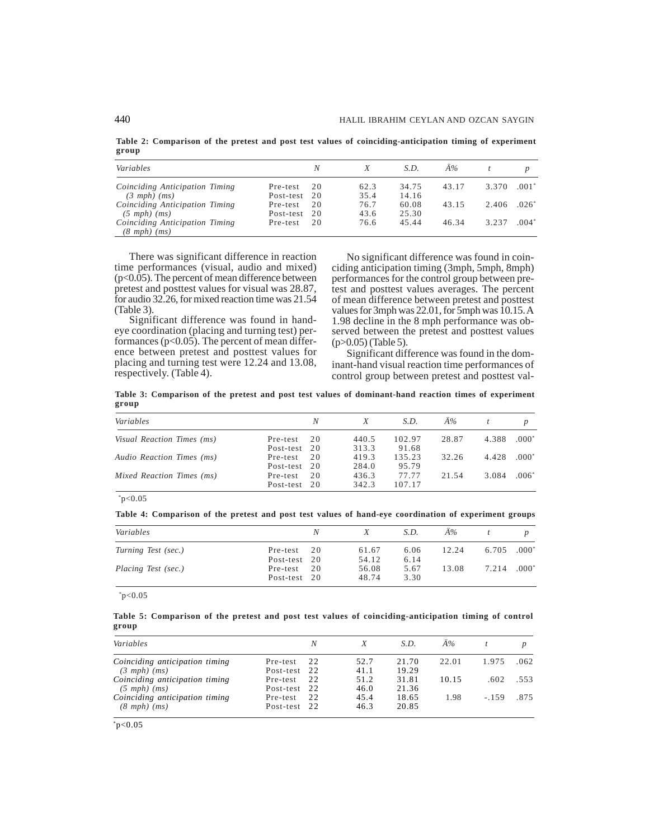**Table 2: Comparison of the pretest and post test values of coinciding-anticipation timing of experiment group**

| Variables                                                  |           | N  |      | S.D.  | Ä%    |       |         |
|------------------------------------------------------------|-----------|----|------|-------|-------|-------|---------|
| Coinciding Anticipation Timing                             | Pre-test  | 20 | 62.3 | 34.75 | 43.17 | 3.370 | $.001*$ |
| $(3 mph)$ $(ms)$                                           | Post-test | 20 | 35.4 | 14.16 |       |       |         |
| Coinciding Anticipation Timing                             | Pre-test  | 20 | 76.7 | 60.08 | 43.15 | 2.406 | $-026*$ |
| $(5 \text{ mph})$ $(ms)$                                   | Post-test | 20 | 43.6 | 25.30 |       |       |         |
| Coinciding Anticipation Timing<br>$(8 \text{ mph})$ $(ms)$ | Pre-test  | 20 | 76.6 | 45.44 | 46.34 | 3.237 | $.004*$ |

There was significant difference in reaction time performances (visual, audio and mixed) (p<0.05). The percent of mean difference between pretest and posttest values for visual was 28.87, for audio 32.26, for mixed reaction time was 21.54 (Table 3).

Significant difference was found in handeye coordination (placing and turning test) performances ( $p$ <0.05). The percent of mean difference between pretest and posttest values for placing and turning test were 12.24 and 13.08, respectively. (Table 4).

No significant difference was found in coinciding anticipation timing (3mph, 5mph, 8mph) performances for the control group between pretest and posttest values averages. The percent of mean difference between pretest and posttest values for 3mph was 22.01, for 5mph was 10.15. A 1.98 decline in the 8 mph performance was observed between the pretest and posttest values (p>0.05) (Table 5).

Significant difference was found in the dominant-hand visual reaction time performances of control group between pretest and posttest val-

**Table 3: Comparison of the pretest and post test values of dominant-hand reaction times of experiment group**

| Variables                  |           | N  |       | S.D.   | $\AA\%$ |       |         |
|----------------------------|-----------|----|-------|--------|---------|-------|---------|
| Visual Reaction Times (ms) | Pre-test  | 20 | 440.5 | 102.97 | 28.87   | 4.388 | $.000*$ |
|                            | Post-test | 20 | 313.3 | 91.68  |         |       |         |
| Audio Reaction Times (ms)  | Pre-test  | 20 | 419.3 | 135.23 | 32.26   | 4.428 | $.000*$ |
|                            | Post-test | 20 | 284.0 | 95.79  |         |       |         |
| Mixed Reaction Times (ms)  | Pre-test  | 20 | 436.3 | 77.77  | 21.54   | 3.084 | $.006*$ |
|                            | Post-test | 20 | 342.3 | 107.17 |         |       |         |

 $*_{p<0.05}$ 

**Table 4: Comparison of the pretest and post test values of hand-eye coordination of experiment groups**

| Variables           | N                              |                | S.D.         | Ä%    |       |          |
|---------------------|--------------------------------|----------------|--------------|-------|-------|----------|
| Turning Test (sec.) | 20<br>Pre-test                 | 61.67<br>54.12 | 6.06<br>6.14 | 12.24 | 6.705 | $0.000*$ |
| Placing Test (sec.) | Post-test 20<br>20<br>Pre-test | 56.08          | 5.67         | 13.08 | 7.214 | $0.000*$ |
|                     | Post-test 20                   | 48.74          | 3.30         |       |       |          |

 $*p<0.05$ 

**Table 5: Comparison of the pretest and post test values of coinciding-anticipation timing of control group**

| Variables                      |              | N    |      | S.D.  | Ä%    |        |      |
|--------------------------------|--------------|------|------|-------|-------|--------|------|
| Coinciding anticipation timing | Pre-test     | 22   | 52.7 | 21.70 | 22.01 | 1.975  | .062 |
| $(3 \; mph)$ $(ms)$            | Post-test 22 |      | 41.1 | 19.29 |       |        |      |
| Coinciding anticipation timing | Pre-test     | 2.2. | 51.2 | 31.81 | 10.15 | .602   | 553  |
| $(5 \text{ mph})$ $(ms)$       | Post-test 22 |      | 46.0 | 21.36 |       |        |      |
| Coinciding anticipation timing | Pre-test     | 2.2. | 45.4 | 18.65 | 1.98  | $-159$ | 875  |
| $(8 \text{ mph})$ $(ms)$       | Post-test    | 22   | 46.3 | 20.85 |       |        |      |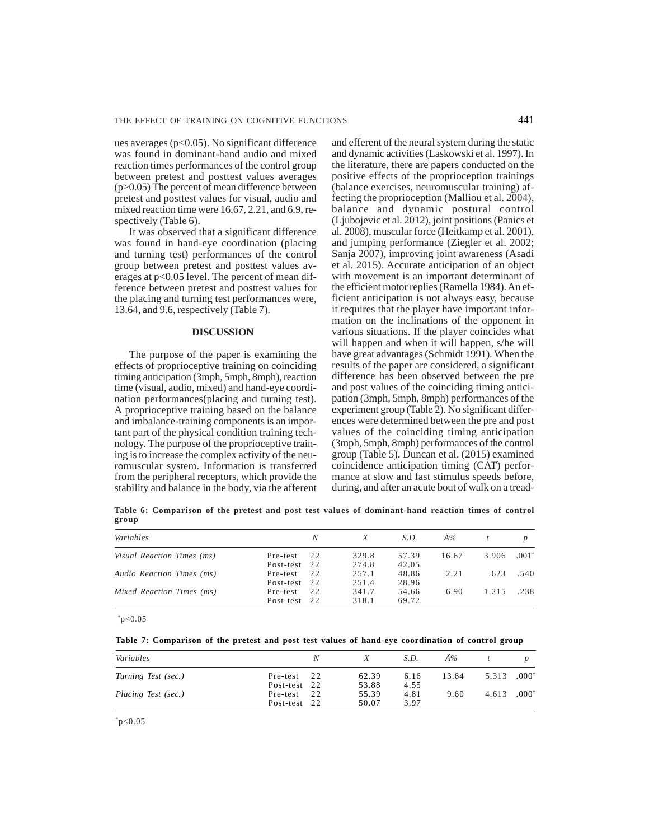ues averages ( $p<0.05$ ). No significant difference was found in dominant-hand audio and mixed reaction times performances of the control group between pretest and posttest values averages (p>0.05) The percent of mean difference between pretest and posttest values for visual, audio and mixed reaction time were 16.67, 2.21, and 6.9, respectively (Table 6).

It was observed that a significant difference was found in hand-eye coordination (placing and turning test) performances of the control group between pretest and posttest values averages at p<0.05 level. The percent of mean difference between pretest and posttest values for the placing and turning test performances were, 13.64, and 9.6, respectively (Table 7).

## **DISCUSSION**

The purpose of the paper is examining the effects of proprioceptive training on coinciding timing anticipation (3mph, 5mph, 8mph), reaction time (visual, audio, mixed) and hand-eye coordination performances(placing and turning test). A proprioceptive training based on the balance and imbalance-training components is an important part of the physical condition training technology. The purpose of the proprioceptive training is to increase the complex activity of the neuromuscular system. Information is transferred from the peripheral receptors, which provide the stability and balance in the body, via the afferent and efferent of the neural system during the static and dynamic activities (Laskowski et al. 1997). In the literature, there are papers conducted on the positive effects of the proprioception trainings (balance exercises, neuromuscular training) affecting the proprioception (Malliou et al. 2004), balance and dynamic postural control (Ljubojevic et al. 2012), joint positions (Panics et al. 2008), muscular force (Heitkamp et al. 2001), and jumping performance (Ziegler et al. 2002; Sanja 2007), improving joint awareness (Asadi et al. 2015). Accurate anticipation of an object with movement is an important determinant of the efficient motor replies (Ramella 1984). An efficient anticipation is not always easy, because it requires that the player have important information on the inclinations of the opponent in various situations. If the player coincides what will happen and when it will happen, s/he will have great advantages (Schmidt 1991). When the results of the paper are considered, a significant difference has been observed between the pre and post values of the coinciding timing anticipation (3mph, 5mph, 8mph) performances of the experiment group (Table 2). No significant differences were determined between the pre and post values of the coinciding timing anticipation (3mph, 5mph, 8mph) performances of the control group (Table 5). Duncan et al. (2015) examined coincidence anticipation timing (CAT) performance at slow and fast stimulus speeds before, during, and after an acute bout of walk on a tread-

**Table 6: Comparison of the pretest and post test values of dominant-hand reaction times of control group**

| Variables                  |                          | N    |                | S.D.           | Ä%    |       |         |
|----------------------------|--------------------------|------|----------------|----------------|-------|-------|---------|
| Visual Reaction Times (ms) | Pre-test                 | 2.2. | 329.8          | 57.39          | 16.67 | 3.906 | $.001*$ |
|                            | Post-test 22             |      | 274.8          | 42.05          |       |       |         |
| Audio Reaction Times (ms)  | Pre-test                 | 2.2. | 257.1          | 48.86          | 2.21  | .623  | .540    |
|                            | Post-test 22             |      | 251.4          | 28.96          |       |       |         |
| Mixed Reaction Times (ms)  | Pre-test<br>Post-test 22 | 22   | 341.7<br>318.1 | 54.66<br>69.72 | 6.90  | 1.215 | .238    |

 $*_{p<0.05}$ 

|  |  |  |  |  |  |  |  | Table 7: Comparison of the pretest and post test values of hand-eye coordination of control group |  |  |
|--|--|--|--|--|--|--|--|---------------------------------------------------------------------------------------------------|--|--|
|--|--|--|--|--|--|--|--|---------------------------------------------------------------------------------------------------|--|--|

| Variables           |              | Ν  |       | S.D. | $\AA\%$ |       |          |
|---------------------|--------------|----|-------|------|---------|-------|----------|
| Turning Test (sec.) | Pre-test     | 22 | 62.39 | 6.16 | 13.64   | 5.313 | $.000*$  |
|                     | Post-test 22 |    | 53.88 | 4.55 |         |       |          |
| Placing Test (sec.) | Pre-test     | 22 | 55.39 | 4.81 | 9.60    | 4.613 | $.000^*$ |
|                     | Post-test 22 |    | 50.07 | 3.97 |         |       |          |

 $*_{p<0.05}$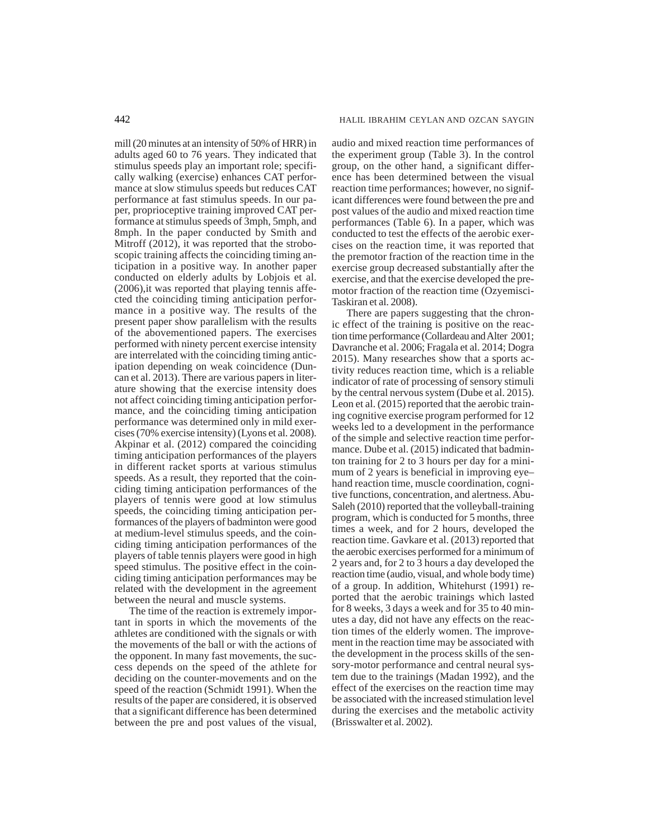mill (20 minutes at an intensity of 50% of HRR) in adults aged 60 to 76 years. They indicated that stimulus speeds play an important role; specifically walking (exercise) enhances CAT performance at slow stimulus speeds but reduces CAT performance at fast stimulus speeds. In our paper, proprioceptive training improved CAT performance at stimulus speeds of 3mph, 5mph, and 8mph. In the paper conducted by Smith and Mitroff (2012), it was reported that the stroboscopic training affects the coinciding timing anticipation in a positive way. In another paper conducted on elderly adults by Lobjois et al. (2006),it was reported that playing tennis affected the coinciding timing anticipation performance in a positive way. The results of the present paper show parallelism with the results of the abovementioned papers. The exercises performed with ninety percent exercise intensity are interrelated with the coinciding timing anticipation depending on weak coincidence (Duncan et al. 2013). There are various papers in literature showing that the exercise intensity does not affect coinciding timing anticipation performance, and the coinciding timing anticipation performance was determined only in mild exercises (70% exercise intensity) (Lyons et al. 2008). Akpinar et al. (2012) compared the coinciding timing anticipation performances of the players in different racket sports at various stimulus speeds. As a result, they reported that the coinciding timing anticipation performances of the players of tennis were good at low stimulus speeds, the coinciding timing anticipation performances of the players of badminton were good at medium-level stimulus speeds, and the coinciding timing anticipation performances of the players of table tennis players were good in high speed stimulus. The positive effect in the coinciding timing anticipation performances may be related with the development in the agreement between the neural and muscle systems.

The time of the reaction is extremely important in sports in which the movements of the athletes are conditioned with the signals or with the movements of the ball or with the actions of the opponent. In many fast movements, the success depends on the speed of the athlete for deciding on the counter-movements and on the speed of the reaction (Schmidt 1991). When the results of the paper are considered, it is observed that a significant difference has been determined between the pre and post values of the visual,

audio and mixed reaction time performances of the experiment group (Table 3). In the control group, on the other hand, a significant difference has been determined between the visual reaction time performances; however, no significant differences were found between the pre and post values of the audio and mixed reaction time performances (Table 6). In a paper, which was conducted to test the effects of the aerobic exercises on the reaction time, it was reported that the premotor fraction of the reaction time in the exercise group decreased substantially after the exercise, and that the exercise developed the premotor fraction of the reaction time (Ozyemisci-Taskiran et al. 2008).

There are papers suggesting that the chronic effect of the training is positive on the reaction time performance (Collardeau and Alter 2001; Davranche et al. 2006; Fragala et al. 2014; Dogra 2015). Many researches show that a sports activity reduces reaction time, which is a reliable indicator of rate of processing of sensory stimuli by the central nervous system (Dube et al. 2015). Leon et al. (2015) reported that the aerobic training cognitive exercise program performed for 12 weeks led to a development in the performance of the simple and selective reaction time performance. Dube et al. (2015) indicated that badminton training for 2 to 3 hours per day for a minimum of 2 years is beneficial in improving eye– hand reaction time, muscle coordination, cognitive functions, concentration, and alertness. Abu-Saleh (2010) reported that the volleyball-training program, which is conducted for 5 months, three times a week, and for 2 hours, developed the reaction time. Gavkare et al. (2013) reported that the aerobic exercises performed for a minimum of 2 years and, for 2 to 3 hours a day developed the reaction time (audio, visual, and whole body time) of a group. In addition, Whitehurst (1991) reported that the aerobic trainings which lasted for 8 weeks, 3 days a week and for 35 to 40 minutes a day, did not have any effects on the reaction times of the elderly women. The improvement in the reaction time may be associated with the development in the process skills of the sensory-motor performance and central neural system due to the trainings (Madan 1992), and the effect of the exercises on the reaction time may be associated with the increased stimulation level during the exercises and the metabolic activity (Brisswalter et al. 2002).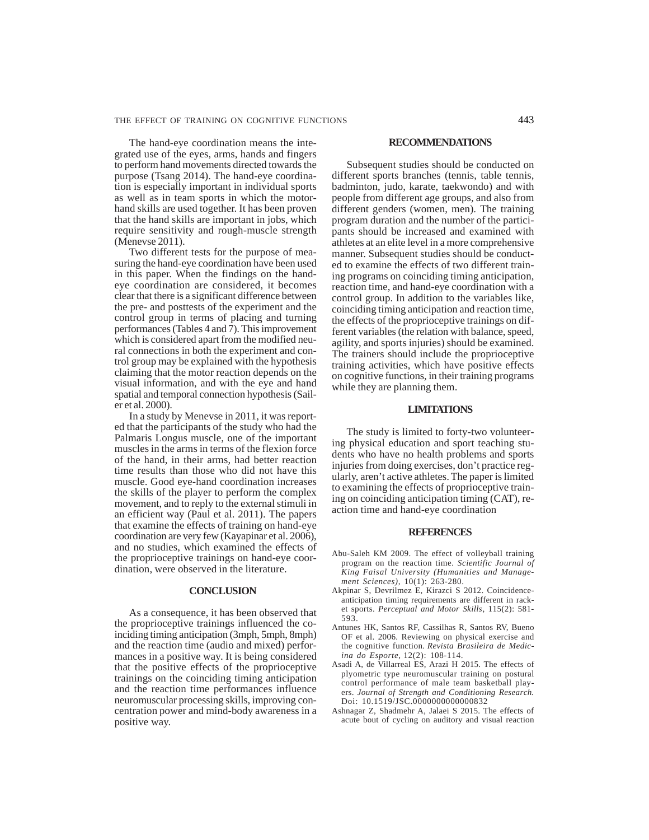The hand-eye coordination means the integrated use of the eyes, arms, hands and fingers to perform hand movements directed towards the purpose (Tsang 2014). The hand-eye coordination is especially important in individual sports as well as in team sports in which the motorhand skills are used together. It has been proven that the hand skills are important in jobs, which require sensitivity and rough-muscle strength (Menevse 2011).

Two different tests for the purpose of measuring the hand-eye coordination have been used in this paper. When the findings on the handeye coordination are considered, it becomes clear that there is a significant difference between the pre- and posttests of the experiment and the control group in terms of placing and turning performances (Tables 4 and 7). This improvement which is considered apart from the modified neural connections in both the experiment and control group may be explained with the hypothesis claiming that the motor reaction depends on the visual information, and with the eye and hand spatial and temporal connection hypothesis (Sailer et al. 2000).

In a study by Menevse in 2011, it was reported that the participants of the study who had the Palmaris Longus muscle, one of the important muscles in the arms in terms of the flexion force of the hand, in their arms, had better reaction time results than those who did not have this muscle. Good eye-hand coordination increases the skills of the player to perform the complex movement, and to reply to the external stimuli in an efficient way (Paul et al. 2011). The papers that examine the effects of training on hand-eye coordination are very few (Kayapinar et al. 2006), and no studies, which examined the effects of the proprioceptive trainings on hand-eye coordination, were observed in the literature.

#### **CONCLUSION**

As a consequence, it has been observed that the proprioceptive trainings influenced the coinciding timing anticipation (3mph, 5mph, 8mph) and the reaction time (audio and mixed) performances in a positive way. It is being considered that the positive effects of the proprioceptive trainings on the coinciding timing anticipation and the reaction time performances influence neuromuscular processing skills, improving concentration power and mind-body awareness in a positive way.

#### **RECOMMENDATIONS**

Subsequent studies should be conducted on different sports branches (tennis, table tennis, badminton, judo, karate, taekwondo) and with people from different age groups, and also from different genders (women, men). The training program duration and the number of the participants should be increased and examined with athletes at an elite level in a more comprehensive manner. Subsequent studies should be conducted to examine the effects of two different training programs on coinciding timing anticipation, reaction time, and hand-eye coordination with a control group. In addition to the variables like, coinciding timing anticipation and reaction time, the effects of the proprioceptive trainings on different variables (the relation with balance, speed, agility, and sports injuries) should be examined. The trainers should include the proprioceptive training activities, which have positive effects on cognitive functions, in their training programs while they are planning them.

## **LIMITATIONS**

The study is limited to forty-two volunteering physical education and sport teaching students who have no health problems and sports injuries from doing exercises, don't practice regularly, aren't active athletes. The paper is limited to examining the effects of proprioceptive training on coinciding anticipation timing (CAT), reaction time and hand-eye coordination

### **REFERENCES**

- Abu-Saleh KM 2009. The effect of volleyball training program on the reaction time. *Scientific Journal of King Faisal University (Humanities and Management Sciences)*, 10(1): 263-280.
- Akpinar S, Devrilmez E, Kirazci S 2012. Coincidenceanticipation timing requirements are different in racket sports. *Perceptual and Motor Skills*, 115(2): 581- 593.
- Antunes HK, Santos RF, Cassilhas R, Santos RV, Bueno OF et al. 2006. Reviewing on physical exercise and the cognitive function. *Revista Brasileira de Medicina do Esporte*, 12(2): 108-114.
- Asadi A, de Villarreal ES, Arazi H 2015. The effects of plyometric type neuromuscular training on postural control performance of male team basketball players. *Journal of Strength and Conditioning Research.* Doi: 10.1519/JSC.0000000000000832
- Ashnagar Z, Shadmehr A, Jalaei S 2015. The effects of acute bout of cycling on auditory and visual reaction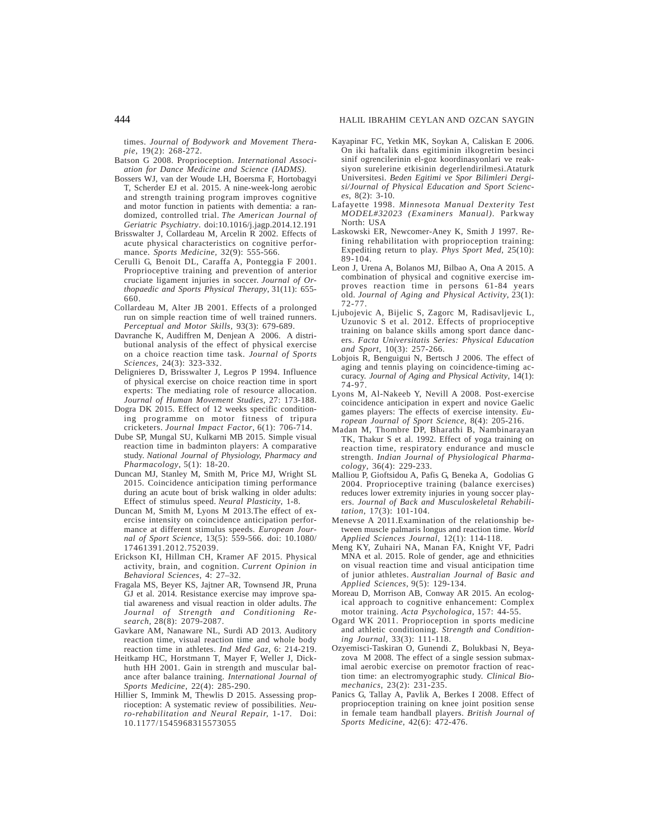times. *Journal of Bodywork and Movement Therapie,* 19(2): 268-272.

- Batson G 2008. Proprioception. *International Association for Dance Medicine and Science (IADMS).*
- Bossers WJ, van der Woude LH, Boersma F, Hortobagyi T, Scherder EJ et al. 2015. A nine-week-long aerobic and strength training program improves cognitive and motor function in patients with dementia: a randomized, controlled trial. *The American Journal of Geriatric Psychiatry*. doi:10.1016/j.jagp.2014.12.191
- Brisswalter J, Collardeau M, Arcelin R 2002. Effects of acute physical characteristics on cognitive performance. *Sports Medicine,* 32(9): 555-566.
- Cerulli G, Benoit DL, Caraffa A, Ponteggia F 2001. Proprioceptive training and prevention of anterior cruciate ligament injuries in soccer. *Journal of Orthopaedic and Sports Physical Therapy*, 31(11): 655- 660.
- Collardeau M, Alter JB 2001. Effects of a prolonged run on simple reaction time of well trained runners. *Perceptual and Motor Skills,* 93(3): 679-689.
- Davranche K, Audiffren M, Denjean A 2006. A distributional analysis of the effect of physical exercise on a choice reaction time task. *Journal of Sports Sciences*, 24(3): 323-332.
- Delignieres D, Brisswalter J, Legros P 1994. Influence of physical exercise on choice reaction time in sport experts: The mediating role of resource allocation. *Journal of Human Movement Studies,* 27: 173-188.
- Dogra DK 2015. Effect of 12 weeks specific conditioning programme on motor fitness of tripura cricketers. *Journal Impact Factor*, 6(1): 706-714.
- Dube SP, Mungal SU, Kulkarni MB 2015. Simple visual reaction time in badminton players: A comparative study. *National Journal of Physiology, Pharmacy and Pharmacology*, 5(1): 18-20.
- Duncan MJ, Stanley M, Smith M, Price MJ, Wright SL 2015. Coincidence anticipation timing performance during an acute bout of brisk walking in older adults: Effect of stimulus speed. *Neural Plasticity*, 1-8.
- Duncan M, Smith M, Lyons M 2013.The effect of exercise intensity on coincidence anticipation performance at different stimulus speeds. *European Journal of Sport Science*, 13(5): 559-566. doi: 10.1080/ 17461391.2012.752039.
- Erickson KI, Hillman CH, Kramer AF 2015. Physical activity, brain, and cognition. *Current Opinion in Behavioral Sciences*, 4: 27–32.
- Fragala MS, Beyer KS, Jajtner AR, Townsend JR, Pruna GJ et al. 2014. Resistance exercise may improve spatial awareness and visual reaction in older adults. *The Journal of Strength and Conditioning Research*, 28(8): 2079-2087.
- Gavkare AM, Nanaware NL, Surdi AD 2013. Auditory reaction time, visual reaction time and whole body reaction time in athletes. *Ind Med Gaz*, 6: 214-219.
- Heitkamp HC, Horstmann T, Mayer F, Weller J, Dickhuth HH 2001. Gain in strength and muscular balance after balance training. *International Journal of Sports Medicine*, 22(4): 285-290.
- Hillier S, Immink M, Thewlis D 2015. Assessing proprioception: A systematic review of possibilities. *Neuro-rehabilitation and Neural Repair,* 1-17*.* Doi: 10.1177/1545968315573055
- Kayapinar FC, Yetkin MK, Soykan A, Caliskan E 2006. On iki haftalik dans egitiminin ilkogretim besinci sinif ogrencilerinin el-goz koordinasyonlari ve reaksiyon surelerine etkisinin degerlendirilmesi.Ataturk Universitesi. *Beden Egitimi ve Spor Bilimleri Dergisi/Journal of Physical Education and Sport Sciences*, 8(2): 3-10.
- Lafayette 1998. *Minnesota Manual Dexterity Test MODEL#32023 (Examiners Manual).* Parkway North: USA
- Laskowski ER, Newcomer-Aney K, Smith J 1997. Refining rehabilitation with proprioception training: Expediting return to play. *Phys Sport Med,* 25(10): 89-104.
- Leon J, Urena A, Bolanos MJ, Bilbao A, Ona A 2015. A combination of physical and cognitive exercise improves reaction time in persons 61-84 years old. *Journal of Aging and Physical Activity*, 23(1): 72-77.
- Ljubojevic A, Bijelic S, Zagorc M, Radisavljevic L, Uzunovic S et al. 2012. Effects of proprioceptive training on balance skills among sport dance dancers. *Facta Universitatis Series: Physical Education and Sport*, 10(3): 257-266.
- Lobjois R, Benguigui N, Bertsch J 2006. The effect of aging and tennis playing on coincidence-timing accuracy. *Journal of Aging and Physical Activity*, 14(1): 74-97.
- Lyons M, Al-Nakeeb Y, Nevill A 2008. Post-exercise coincidence anticipation in expert and novice Gaelic games players: The effects of exercise intensity. *European Journal of Sport Science*, 8(4): 205-216.
- Madan M, Thombre DP, Bharathi B, Nambinarayan TK, Thakur S et al. 1992. Effect of yoga training on reaction time, respiratory endurance and muscle strength. *Indian Journal of Physiological Pharmacology*, 36(4): 229-233.
- Malliou P, Gioftsidou A, Pafis G, Beneka A, Godolias G 2004. Proprioceptive training (balance exercises) reduces lower extremity injuries in young soccer players. *Journal of Back and Musculoskeletal Rehabilitation*, 17(3): 101-104.
- Menevse A 2011.Examination of the relationship between muscle palmaris longus and reaction time. *World Applied Sciences Journal*, 12(1): 114-118.
- Meng KY, Zuhairi NA, Manan FA, Knight VF, Padri MNA et al. 2015. Role of gender, age and ethnicities on visual reaction time and visual anticipation time of junior athletes. *Australian Journal of Basic and Applied Sciences*, 9(5): 129-134.
- Moreau D, Morrison AB, Conway AR 2015. An ecological approach to cognitive enhancement: Complex motor training. *Acta Psychologica*, 157: 44-55.
- Ogard WK 2011. Proprioception in sports medicine and athletic conditioning. *Strength and Conditioning Journal*, 33(3): 111-118.
- Ozyemisci-Taskiran O, Gunendi Z, Bolukbasi N, Beyazova M 2008. The effect of a single session submaximal aerobic exercise on premotor fraction of reaction time: an electromyographic study. *Clinical Biomechanics*, 23(2): 231-235.
- Panics G, Tallay A, Pavlik A, Berkes I 2008. Effect of proprioception training on knee joint position sense in female team handball players. *British Journal of Sports Medicine*, 42(6): 472-476.